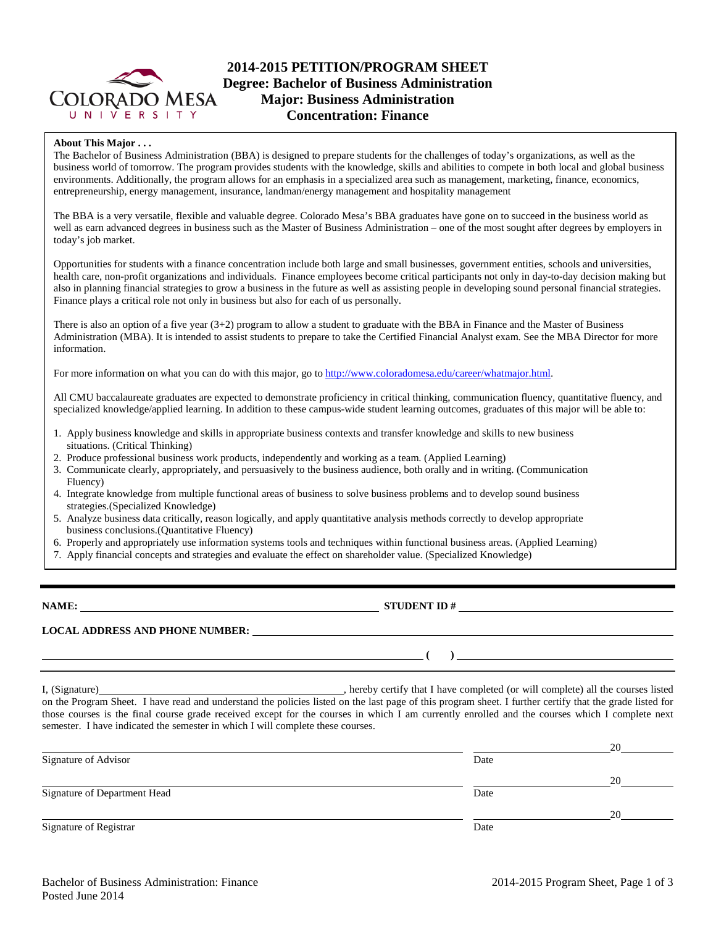

# **2014-2015 PETITION/PROGRAM SHEET Degree: Bachelor of Business Administration Major: Business Administration Concentration: Finance**

#### **About This Major . . .**

The Bachelor of Business Administration (BBA) is designed to prepare students for the challenges of today's organizations, as well as the business world of tomorrow. The program provides students with the knowledge, skills and abilities to compete in both local and global business environments. Additionally, the program allows for an emphasis in a specialized area such as management, marketing, finance, economics, entrepreneurship, energy management, insurance, landman/energy management and hospitality management

The BBA is a very versatile, flexible and valuable degree. Colorado Mesa's BBA graduates have gone on to succeed in the business world as well as earn advanced degrees in business such as the Master of Business Administration – one of the most sought after degrees by employers in today's job market.

Opportunities for students with a finance concentration include both large and small businesses, government entities, schools and universities, health care, non-profit organizations and individuals. Finance employees become critical participants not only in day-to-day decision making but also in planning financial strategies to grow a business in the future as well as assisting people in developing sound personal financial strategies. Finance plays a critical role not only in business but also for each of us personally.

There is also an option of a five year (3+2) program to allow a student to graduate with the BBA in Finance and the Master of Business Administration (MBA). It is intended to assist students to prepare to take the Certified Financial Analyst exam. See the MBA Director for more information.

For more information on what you can do with this major, go t[o http://www.coloradomesa.edu/career/whatmajor.html.](http://www.coloradomesa.edu/career/whatmajor.html)

All CMU baccalaureate graduates are expected to demonstrate proficiency in critical thinking, communication fluency, quantitative fluency, and specialized knowledge/applied learning. In addition to these campus-wide student learning outcomes, graduates of this major will be able to:

- 1. Apply business knowledge and skills in appropriate business contexts and transfer knowledge and skills to new business situations. (Critical Thinking)
- 2. Produce professional business work products, independently and working as a team. (Applied Learning)
- 3. Communicate clearly, appropriately, and persuasively to the business audience, both orally and in writing. (Communication Fluency)
- 4. Integrate knowledge from multiple functional areas of business to solve business problems and to develop sound business strategies.(Specialized Knowledge)
- 5. Analyze business data critically, reason logically, and apply quantitative analysis methods correctly to develop appropriate business conclusions.(Quantitative Fluency)
- 6. Properly and appropriately use information systems tools and techniques within functional business areas. (Applied Learning)
- 7. Apply financial concepts and strategies and evaluate the effect on shareholder value. (Specialized Knowledge)

**NAME: STUDENT ID #** 

**LOCAL ADDRESS AND PHONE NUMBER:**

**( )** 

I, (Signature) , hereby certify that I have completed (or will complete) all the courses listed on the Program Sheet. I have read and understand the policies listed on the last page of this program sheet. I further certify that the grade listed for those courses is the final course grade received except for the courses in which I am currently enrolled and the courses which I complete next semester. I have indicated the semester in which I will complete these courses.

|                              |      | 20 |
|------------------------------|------|----|
| Signature of Advisor         | Date |    |
|                              |      | 20 |
| Signature of Department Head | Date |    |
|                              |      | 20 |
| Signature of Registrar       | Date |    |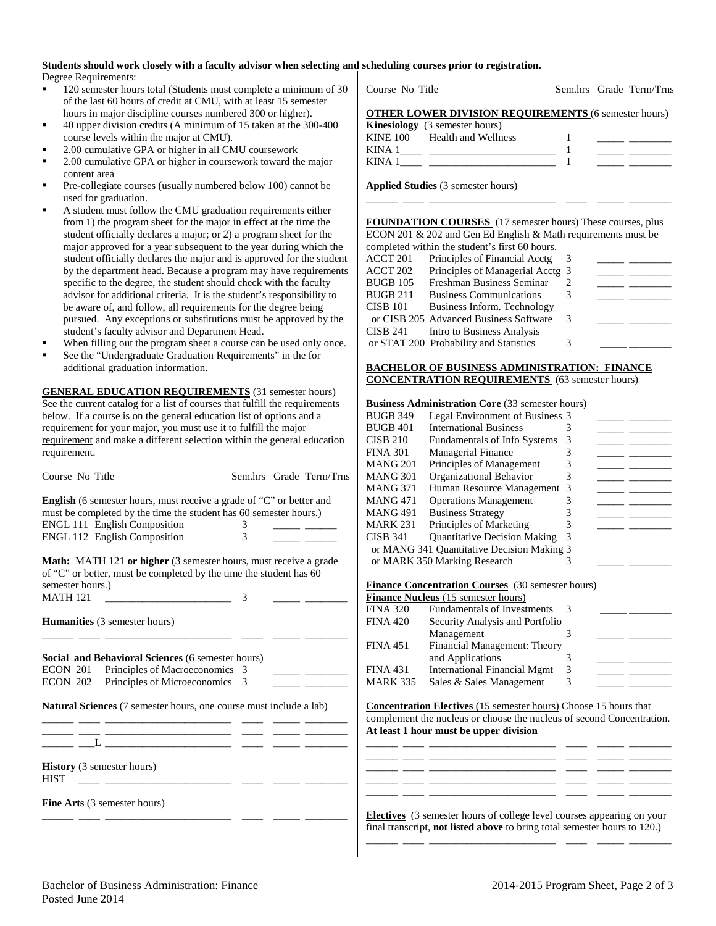### **Students should work closely with a faculty advisor when selecting and scheduling courses prior to registration.**  Degree Requirements:

- <sup>120</sup> semester hours total (Students must complete a minimum of 30 of the last 60 hours of credit at CMU, with at least 15 semester hours in major discipline courses numbered 300 or higher).
- 40 upper division credits (A minimum of 15 taken at the 300-400 course levels within the major at CMU).
- 2.00 cumulative GPA or higher in all CMU coursework
- 2.00 cumulative GPA or higher in coursework toward the major content area
- Pre-collegiate courses (usually numbered below 100) cannot be used for graduation.
- A student must follow the CMU graduation requirements either from 1) the program sheet for the major in effect at the time the student officially declares a major; or 2) a program sheet for the major approved for a year subsequent to the year during which the student officially declares the major and is approved for the student by the department head. Because a program may have requirements specific to the degree, the student should check with the faculty advisor for additional criteria. It is the student's responsibility to be aware of, and follow, all requirements for the degree being pursued. Any exceptions or substitutions must be approved by the student's faculty advisor and Department Head.
- When filling out the program sheet a course can be used only once. See the "Undergraduate Graduation Requirements" in the for
- additional graduation information.

**GENERAL EDUCATION REQUIREMENTS** (31 semester hours) See the current catalog for a list of courses that fulfill the requirements below. If a course is on the general education list of options and a requirement for your major, you must use it to fulfill the major requirement and make a different selection within the general education requirement.

|                                                                                                                                        |                                                                                                                        |                 |                                                                                                                                                                                                                                                      |               | _ _                                                                                                                                                                                                                                                                                                                                                                                                                                                                        |
|----------------------------------------------------------------------------------------------------------------------------------------|------------------------------------------------------------------------------------------------------------------------|-----------------|------------------------------------------------------------------------------------------------------------------------------------------------------------------------------------------------------------------------------------------------------|---------------|----------------------------------------------------------------------------------------------------------------------------------------------------------------------------------------------------------------------------------------------------------------------------------------------------------------------------------------------------------------------------------------------------------------------------------------------------------------------------|
| Course No Title                                                                                                                        | Sem.hrs Grade Term/Trns                                                                                                | <b>MANG 301</b> | Organizational Behavior                                                                                                                                                                                                                              | 3             | <u> 1980 - Jan James James Barnett, amerikansk fotograf (</u>                                                                                                                                                                                                                                                                                                                                                                                                              |
|                                                                                                                                        |                                                                                                                        | <b>MANG 371</b> | Human Resource Management 3                                                                                                                                                                                                                          |               | $\frac{1}{1-\frac{1}{1-\frac{1}{1-\frac{1}{1-\frac{1}{1-\frac{1}{1-\frac{1}{1-\frac{1}{1-\frac{1}{1-\frac{1}{1-\frac{1}{1-\frac{1}{1-\frac{1}{1-\frac{1}{1-\frac{1}{1-\frac{1}{1-\frac{1}{1-\frac{1}{1-\frac{1}{1-\frac{1}{1-\frac{1}{1-\frac{1}{1-\frac{1}{1-\frac{1}{1-\frac{1}{1-\frac{1}{1-\frac{1}{1-\frac{1}{1-\frac{1}{1-\frac{1}{1-\frac{1}{1-\frac{1}{1-\frac{1}{1-\frac{1}{1-\frac{1}{1-\frac{1}{1-\frac{1$                                                      |
|                                                                                                                                        | English (6 semester hours, must receive a grade of "C" or better and                                                   | <b>MANG 471</b> | <b>Operations Management</b>                                                                                                                                                                                                                         | 3             |                                                                                                                                                                                                                                                                                                                                                                                                                                                                            |
|                                                                                                                                        | must be completed by the time the student has 60 semester hours.)                                                      | <b>MANG 491</b> | <b>Business Strategy</b>                                                                                                                                                                                                                             |               |                                                                                                                                                                                                                                                                                                                                                                                                                                                                            |
| ENGL 111 English Composition                                                                                                           | 3                                                                                                                      | <b>MARK 231</b> | Principles of Marketing                                                                                                                                                                                                                              | 3             |                                                                                                                                                                                                                                                                                                                                                                                                                                                                            |
| ENGL 112 English Composition                                                                                                           |                                                                                                                        | <b>CISB 341</b> | <b>Quantitative Decision Making</b>                                                                                                                                                                                                                  |               |                                                                                                                                                                                                                                                                                                                                                                                                                                                                            |
|                                                                                                                                        |                                                                                                                        |                 | or MANG 341 Quantitative Decision Making 3                                                                                                                                                                                                           |               |                                                                                                                                                                                                                                                                                                                                                                                                                                                                            |
|                                                                                                                                        | Math: MATH 121 or higher (3 semester hours, must receive a grade                                                       |                 | or MARK 350 Marking Research                                                                                                                                                                                                                         |               |                                                                                                                                                                                                                                                                                                                                                                                                                                                                            |
| of "C" or better, must be completed by the time the student has 60                                                                     |                                                                                                                        |                 |                                                                                                                                                                                                                                                      |               |                                                                                                                                                                                                                                                                                                                                                                                                                                                                            |
| semester hours.)                                                                                                                       |                                                                                                                        |                 | <b>Finance Concentration Courses</b> (30 semester hours)                                                                                                                                                                                             |               |                                                                                                                                                                                                                                                                                                                                                                                                                                                                            |
| <b>MATH 121</b><br><u> 1980 - Andrea Albert III, politik eta politik eta politik eta politik eta politik eta politik eta politik e</u> |                                                                                                                        |                 | <b>Finance Nucleus</b> (15 semester hours)                                                                                                                                                                                                           |               |                                                                                                                                                                                                                                                                                                                                                                                                                                                                            |
|                                                                                                                                        |                                                                                                                        | <b>FINA 320</b> | Fundamentals of Investments 3                                                                                                                                                                                                                        |               |                                                                                                                                                                                                                                                                                                                                                                                                                                                                            |
| <b>Humanities</b> (3 semester hours)                                                                                                   |                                                                                                                        | <b>FINA 420</b> | Security Analysis and Portfolio                                                                                                                                                                                                                      |               |                                                                                                                                                                                                                                                                                                                                                                                                                                                                            |
|                                                                                                                                        |                                                                                                                        |                 | Management                                                                                                                                                                                                                                           | $\mathcal{F}$ |                                                                                                                                                                                                                                                                                                                                                                                                                                                                            |
|                                                                                                                                        |                                                                                                                        | <b>FINA 451</b> | Financial Management: Theory                                                                                                                                                                                                                         |               |                                                                                                                                                                                                                                                                                                                                                                                                                                                                            |
| Social and Behavioral Sciences (6 semester hours)                                                                                      |                                                                                                                        |                 | and Applications                                                                                                                                                                                                                                     | 3             | <u> 1989 - Alban Santan Barat III da a shekara tsa a tsa a tsa a tsa a tsa a tsa a tsa a tsa a tsa a tsa a tsa a tsa a tsa a tsa a tsa a tsa a tsa a tsa a tsa a tsa a tsa a tsa a tsa a tsa a tsa a tsa a tsa a tsa a tsa a tsa</u>                                                                                                                                                                                                                                       |
| Principles of Macroeconomics 3<br>ECON 201                                                                                             |                                                                                                                        | <b>FINA 431</b> | International Financial Mgmt 3                                                                                                                                                                                                                       |               | $\frac{1}{2} \left( \frac{1}{2} \right) \left( \frac{1}{2} \right) \left( \frac{1}{2} \right) \left( \frac{1}{2} \right) \left( \frac{1}{2} \right) \left( \frac{1}{2} \right) \left( \frac{1}{2} \right) \left( \frac{1}{2} \right) \left( \frac{1}{2} \right) \left( \frac{1}{2} \right) \left( \frac{1}{2} \right) \left( \frac{1}{2} \right) \left( \frac{1}{2} \right) \left( \frac{1}{2} \right) \left( \frac{1}{2} \right) \left( \frac{1}{2} \right) \left( \frac$ |
| <b>ECON 202</b><br>Principles of Microeconomics 3                                                                                      |                                                                                                                        | <b>MARK 335</b> | Sales & Sales Management                                                                                                                                                                                                                             |               |                                                                                                                                                                                                                                                                                                                                                                                                                                                                            |
|                                                                                                                                        | Natural Sciences (7 semester hours, one course must include a lab)<br><u> 2002 - Andrea San Andrew Maria (b. 1922)</u> |                 | <b>Concentration Electives (15 semester hours)</b> Choose 15 hours that<br>complement the nucleus or choose the nucleus of second Concentration.<br>At least 1 hour must be upper division<br><u> 1988 - Jan Barnett, fransk politiker (d. 1989)</u> |               |                                                                                                                                                                                                                                                                                                                                                                                                                                                                            |
| <b>History</b> (3 semester hours)<br><b>HIST</b>                                                                                       |                                                                                                                        |                 | <u> 1999 - John Harrison, marsin ann an 1990 - 1990 - 1990 - 1990 - 1990 - 1990 - 1990 - 1990 - 1990 - 1990 - 19</u><br><u> 1999 - Jan James James, mars and de la provincia establectura establectura establectura establectura estable</u>         |               |                                                                                                                                                                                                                                                                                                                                                                                                                                                                            |
| <b>Fine Arts</b> (3 semester hours)                                                                                                    |                                                                                                                        |                 |                                                                                                                                                                                                                                                      |               |                                                                                                                                                                                                                                                                                                                                                                                                                                                                            |
|                                                                                                                                        |                                                                                                                        |                 | <b>Electives</b> (3 semester hours of college level courses appearing on your                                                                                                                                                                        |               |                                                                                                                                                                                                                                                                                                                                                                                                                                                                            |

Course No Title Sem.hrs Grade Term/Trns

|  |  |  |  | <b>OTHER LOWER DIVISION REQUIREMENTS (6 semester hours)</b> |
|--|--|--|--|-------------------------------------------------------------|
|  |  |  |  |                                                             |

|          | <b>Kinesiology</b> (3 semester hours) |  |
|----------|---------------------------------------|--|
| KINE 100 | Health and Wellness                   |  |
| KINA .   |                                       |  |
| KIN A    |                                       |  |

**Applied Studies** (3 semester hours)

**FOUNDATION COURSES** (17 semester hours) These courses, plus ECON 201 & 202 and Gen Ed English & Math requirements must be completed within the student's first 60 hours.

\_\_\_\_\_\_ \_\_\_\_ \_\_\_\_\_\_\_\_\_\_\_\_\_\_\_\_\_\_\_\_\_\_\_\_ \_\_\_\_ \_\_\_\_\_ \_\_\_\_\_\_\_\_

|          | completed within the student s first ob hours. |   |  |
|----------|------------------------------------------------|---|--|
| ACCT 201 | Principles of Financial Acctg                  |   |  |
| ACCT 202 | Principles of Managerial Acctg 3               |   |  |
| BUGB 105 | Freshman Business Seminar                      |   |  |
| BUGB 211 | <b>Business Communications</b>                 |   |  |
| CISB 101 | Business Inform. Technology                    |   |  |
|          | or CISB 205 Advanced Business Software         | 3 |  |
| CISB 241 | Intro to Business Analysis                     |   |  |
|          | or STAT 200 Probability and Statistics         |   |  |
|          |                                                |   |  |

### **BACHELOR OF BUSINESS ADMINISTRATION: FINANCE CONCENTRATION REQUIREMENTS** (63 semester hours)

## **Business Administration Core** (33 semester hours)

| <b>BUGB 349</b> | Legal Environment of Business 3            |   |  |
|-----------------|--------------------------------------------|---|--|
| BUGB 401        | <b>International Business</b>              |   |  |
| CISB 210        | <b>Fundamentals of Info Systems</b>        | 3 |  |
| FINA 301        | <b>Managerial Finance</b>                  |   |  |
| MANG 201        | Principles of Management                   | 3 |  |
| MANG 301        | Organizational Behavior                    |   |  |
| MANG 371        | Human Resource Management 3                |   |  |
| MANG 471        | <b>Operations Management</b>               |   |  |
| MANG 491        | <b>Business Strategy</b>                   |   |  |
| MARK 231        | Principles of Marketing                    |   |  |
| CISB 341        | <b>Quantitative Decision Making</b>        | 3 |  |
|                 | or MANG 341 Quantitative Decision Making 3 |   |  |
|                 | or MARK 350 Marking Research               |   |  |
|                 |                                            |   |  |

# **Finance Concentration Courses** (30 semester hours)

| <b>Finance Concentration Courses</b> (50 semester nours) |                                            |   |  |  |  |  |  |
|----------------------------------------------------------|--------------------------------------------|---|--|--|--|--|--|
|                                                          | <b>Finance Nucleus</b> (15 semester hours) |   |  |  |  |  |  |
| <b>FINA 320</b>                                          | <b>Fundamentals of Investments</b>         | 3 |  |  |  |  |  |
| <b>FINA 420</b>                                          | Security Analysis and Portfolio            |   |  |  |  |  |  |
|                                                          | Management                                 |   |  |  |  |  |  |
| <b>FINA 451</b>                                          | Financial Management: Theory               |   |  |  |  |  |  |
|                                                          | and Applications                           |   |  |  |  |  |  |
| <b>FINA 431</b>                                          | <b>International Financial Mgmt</b>        | 3 |  |  |  |  |  |
| <b>MARK 335</b>                                          | Sales & Sales Management                   | 3 |  |  |  |  |  |
|                                                          |                                            |   |  |  |  |  |  |

| <b>Electives</b> (3 semester hours of college level courses appearing on your    |  |
|----------------------------------------------------------------------------------|--|
| final transcript, <b>not listed above</b> to bring total semester hours to 120.) |  |

\_\_\_\_\_\_ \_\_\_\_ \_\_\_\_\_\_\_\_\_\_\_\_\_\_\_\_\_\_\_\_\_\_\_\_ \_\_\_\_ \_\_\_\_\_ \_\_\_\_\_\_\_\_